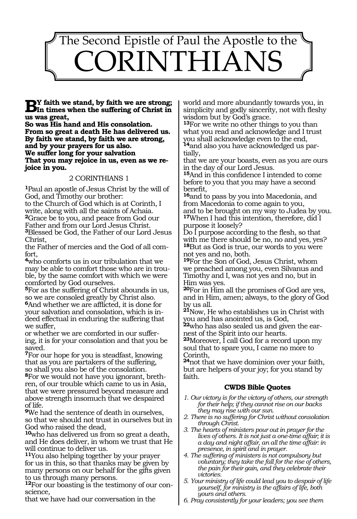

**By** faith we stand, by faith we are strong;<br> **In times when the suffering of Christ in us was great,**

**So was His hand and His consolation. From so great a death He has delivered us. By faith we stand, by faith we are strong, and by your prayers for us also. We suffer long for your salvation That you may rejoice in us, even as we rejoice in you.**

### 2 CORINTHIANS 1

**<sup>1</sup>**Paul an apostle of Jesus Christ by the will of God, and Timothy our brother:

to the Church of God which is at Corinth, I write, along with all the saints of Achaia. **<sup>2</sup>**Grace be to you, and peace from God our Father and from our Lord Jesus Christ. **<sup>3</sup>**Blessed be God, the Father of our Lord Jesus Christ,

the Father of mercies and the God of all comfort,

**<sup>4</sup>**who comforts us in our tribulation that we may be able to comfort those who are in trouble, by the same comfort with which we were comforted by God ourselves.

**<sup>5</sup>**For as the suffering of Christ abounds in us, so we are consoled greatly by Christ also. **6**And whether we are afflicted, it is done for your salvation and consolation, which is indeed effectual in enduring the suffering that we suffer,

or whether we are comforted in our suffer- ing, it is for your consolation and that you be saved.

**<sup>7</sup>**For our hope for you is steadfast, knowing that as you are partakers of the suffering, so shall you also be of the consolation. **<sup>8</sup>**For we would not have you ignorant, breth- ren, of our trouble which came to us in Asia, that we were pressured beyond measure and above strength insomuch that we despaired of life.

**<sup>9</sup>**We had the sentence of death in ourselves, so that we should not trust in ourselves but in God who raised the dead,

**<sup>10</sup>**who has delivered us from so great a death, and He does deliver, in whom we trust that He will continue to deliver us.

**<sup>11</sup>**You also helping together by your prayer for us in this, so that thanks may be given by many persons on our behalf for the gifts given to us through many persons.

**<sup>12</sup>**For our boasting is the testimony of our con- science,

that we have had our conversation in the

world and more abundantly towards you, in simplicity and godly sincerity, not with fleshy wisdom but by God's grace.

**<sup>13</sup>**For we write no other things to you than what you read and acknowledge and I trust you shall acknowledge even to the end, **14**and also you have acknowledged us par-

tially,

that we are your boasts, even as you are ours in the day of our Lord Jesus.

**<sup>15</sup>**And in this confidence I intended to come before to you that you may have a second benefit,

**<sup>16</sup>**and to pass by you into Macedonia, and from Macedonia to come again to you, and to be brought on my way to Judea by you. **<sup>17</sup>**When I had this intention, therefore, did I purpose it loosely?

Do I purpose according to the flesh, so that with me there should be no, no and yes, yes? **<sup>18</sup>**But as God is true, our words to you were not yes and no, both.

**<sup>19</sup>**For the Son of God, Jesus Christ, whom we preached among you, even Silvanus and Timothy and I, was not yes and no, but in Him was yes.

**<sup>20</sup>**For in Him all the promises of God are yes, and in Him, amen; always, to the glory of God by us all.

**<sup>21</sup>**Now, He who establishes us in Christ with you and has anointed us, is God,

**<sup>22</sup>**who has also sealed us and given the ear- nest of the Spirit into our hearts.

**<sup>23</sup>**Moreover, I call God for a record upon my soul that to spare you, I came no more to Corinth,

**<sup>24</sup>**not that we have dominion over your faith, but are helpers of your joy; for you stand by faith.

- *1. Our victory is for the victory of others, our strength for their help; if they cannot rise on our backs they may rise with our sun.*
- *2. There is no suffering for Christ without consolation through Christ.*
- *3. The hearts of ministers pour out in prayer for the lives of others. It is not just a one-time affair; it is a day and night affair, an all the time affair: in presence, in spirit and in prayer.*
- *4. The suffering of ministers is not compulsory but voluntary; they take the fall for the rise of others, the pain for their gain, and they celebrate their victories.*
- *5. Your ministry of life could lead you to despair of life yourself, for ministry is the affairs of life, both yours and others.*
- *6. Pray consistently for your leaders; you see them*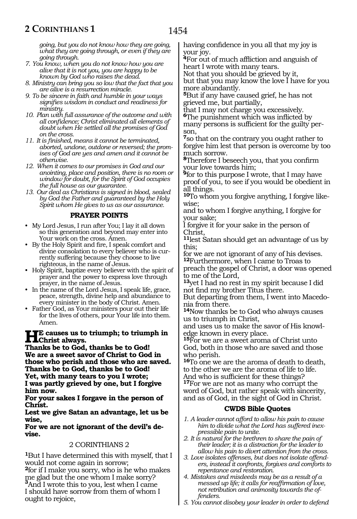*going, but you do not know how they are going, what they are going through, or even if they are going through.*

- *7. You know, when you do not know how you are alive that it is not you, you are happy to be known by God who raises the dead.*
- *8. Ministry can bring you so low that the fact that you are alive is a resurrection miracle.*
- *9. To be sincere in faith and humble in your ways signifies wisdom in conduct and readiness for ministry.*
- *10. Plan with full assurance of the outcome and with all confidence; Christ eliminated all elements of doubt when He settled all the promises of God on the cross.*
- *11. It is finished, means it cannot be terminated, aborted, undone, outdone or reversed; the promises of God are yes and amen and it cannot be otherwise.*
- *12. When it comes to our promises in God and our anointing, place and position, there is no room or window for doubt, for the Spirit of God occupies the full house as our guarantee.*
- *13. Our deal as Christians is signed in blood, sealed by God the Father and guaranteed by the Holy Spirit whom He gives to us as our assurance.*

### **PRAYER POINTS**

- My Lord Jesus, I run after You; I lay it all down so this generation and beyond may enter into Your work on the cross. Amen.
- By the Holy Spirit and fire, I speak comfort and divine consolation to every believer who is currently suffering because they choose to live righteous, in the name of Jesus.
- Holy Spirit, baptize every believer with the spirit of prayer and the power to express love through prayer, in the name of Jesus.
- In the name of the Lord Jesus, I speak life, grace, peace, strength, divine help and abundance to every minister in the body of Christ. Amen.
- Father God, as Your ministers pour out their life for the lives of others, pour Your life into them. Amen.

#### **He causes us to triumph; to triumph in Christ always.**

**Thanks be to God, thanks be to God! We are a sweet savor of Christ to God in those who perish and those who are saved. Thanks be to God, thanks be to God! Yet, with many tears to you I wrote; I was partly grieved by one, but I forgive him now.**

**For your sakes I forgave in the person of Christ.**

**Lest we give Satan an advantage, let us be wise,**

#### **For we are not ignorant of the devil's devise.**

### 2 CORINTHIANS 2

**<sup>1</sup>**But I have determined this with myself, that I would not come again in sorrow;

**<sup>2</sup>**for if I make you sorry, who is he who makes me glad but the one whom I make sorry? **<sup>3</sup>**And I wrote this to you, lest when I came I should have sorrow from them of whom I ought to rejoice,

having confidence in you all that my joy is your joy.

**<sup>4</sup>**For out of much affliction and anguish of heart I wrote with many tears.

Not that you should be grieved by it, but that you may know the love I have for you

more abundantly. **<sup>5</sup>**But if any have caused grief, he has not grieved me, but partially,

that I may not charge you excessively. **<sup>6</sup>**The punishment which was inflicted by many persons is sufficient for the guilty person,

**<sup>7</sup>**so that on the contrary you ought rather to forgive him lest that person is overcome by too much sorrow.

**<sup>8</sup>**Therefore I beseech you, that you confirm your love towards him;

**<sup>9</sup>**for to this purpose I wrote, that I may have proof of you, to see if you would be obedient in all things.

**10**To whom you forgive anything, I forgive likewise;

and to whom I forgive anything, I forgive for your sake;

I forgive it for your sake in the person of Christ,

**<sup>11</sup>**lest Satan should get an advantage of us by this;

for we are not ignorant of any of his devises. **<sup>12</sup>**Furthermore, when I came to Troas to

preach the gospel of Christ, a door was opened to me of the Lord,

**<sup>13</sup>**yet I had no rest in my spirit because I did not find my brother Titus there.

But departing from them, I went into Macedo- nia from there.

**<sup>14</sup>**Now thanks be to God who always causes us to triumph in Christ,

and uses us to make the savor of His knowl- edge known in every place.

**<sup>15</sup>**For we are a sweet aroma of Christ unto God, both in those who are saved and those who perish.

**<sup>16</sup>**To one we are the aroma of death to death, to the other we are the aroma of life to life. And who is sufficient for these things?

**<sup>17</sup>**For we are not as many who corrupt the word of God, but rather speak with sincerity, and as of God, in the sight of God in Christ.

- *1. A leader cannot afford to allow his pain to cause him to divide what the Lord has suffered inexpressible pain to unite.*
- *2. It is natural for the brethren to share the pain of their leader; it is a distraction for the leader to allow his pain to divert attention from the cross.*
- *3. Love isolates offenses, but does not isolate offenders, instead it confronts, forgives and comforts to repentance and restoration.*
- *4. Mistakes and misdeeds may be as a result of a messed up life; it calls for reaffirmation of love, not retribution and animosity towards the offenders.*
- *5. You cannot disobey your leader in order to defend*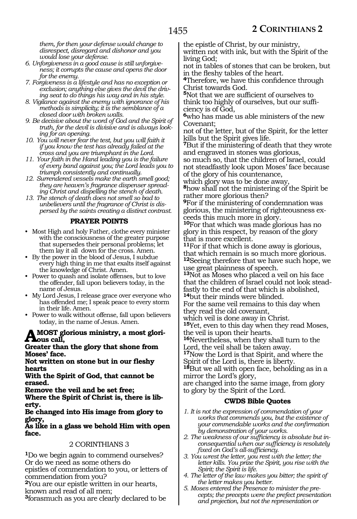*them, for then your defense would change to disrespect, disregard and dishonor and you would lose your defense.*

- *6. Unforgiveness in a good cause is still unforgiveness; it corrupts the cause and opens the door for the enemy.*
- *7. Forgiveness is a lifestyle and has no exception or exclusion; anything else gives the devil the driving seat to do things his way and in his style.*
- *8. Vigilance against the enemy with ignorance of his methods is simplicity; it is the semblance of a closed door with broken walls.*
- *9. Be decisive about the word of God and the Spirit of truth, for the devil is divisive and is always looking for an opening.*
- *10. You will never fear the test, but you will faith it if you know the test has already failed at the cross and you are triumphant in the Lord.*
- *11. Your faith in the Hand leading you is the failure of every band against you; the Lord leads you to triumph consistently and continually.*
- *12. Surrendered vessels make the earth smell good; they are heaven's fragrance dispenser spreading Christ and dispelling the stench of death.*
- *13. The stench of death does not smell so bad to unbelievers until the fragrance of Christ is dispersed by the saints creating a distinct contrast.*

### **PRAYER POINTS**

- Most High and holy Father, clothe every minister with the consciousness of the greater purpose that supersedes their personal problems; let them lay it all down for the cross. Amen.
- By the power in the blood of Jesus, I subdue every high thing in me that exalts itself against the knowledge of Christ. Amen.
- Power to quash and isolate offenses, but to love the offender, fall upon believers today, in the name of Jesus.
- My Lord Jesus, I release grace over everyone who has offended me; I speak peace to every storm in their life. Amen.
- Power to walk without offense, fall upon believers today, in the name of Jesus. Amen.

# **A most glorious ministry, a most glori- ous call,**

#### **Greater than the glory that shone from Moses' face.**

**Not written on stone but in our fleshy hearts**

**With the Spirit of God, that cannot be erased.**

**Remove the veil and be set free;** 

**Where the Spirit of Christ is, there is liberty.**

#### **Be changed into His image from glory to glory,**

**As like in a glass we behold Him with open face.**

### 2 CORINTHIANS 3

**<sup>1</sup>**Do we begin again to commend ourselves? Or do we need as some others do

epistles of commendation to you, or letters of commendation from you?

**<sup>2</sup>**You are our epistle written in our hearts, known and read of all men;

**<sup>3</sup>**forasmuch as you are clearly declared to be

the epistle of Christ, by our ministry,

written not with ink, but with the Spirit of the living God;

not in tables of stones that can be broken, but in the fleshy tables of the heart.

**<sup>4</sup>**Therefore, we have this confidence through Christ towards God.

**<sup>5</sup>**Not that we are sufficient of ourselves to think too highly of ourselves, but our sufficiency is of God,

**<sup>6</sup>**who has made us able ministers of the new Covenant;

not of the letter, but of the Spirit, for the letter kills but the Spirit gives life.

**<sup>7</sup>**But if the ministering of death that they wrote and engraved in stones was glorious, so much so, that the children of Israel, could not steadfastly look upon Moses' face because

of the glory of his countenance,

which glory was to be done away, **<sup>8</sup>**how shall not the ministering of the Spirit be rather more glorious then?

**<sup>9</sup>**For if the ministering of condemnation was glorious, the ministering of righteousness exceeds this much more in glory.

**<sup>10</sup>**For that which was made glorious has no glory in this respect, by reason of the glory that is more excellent.

**<sup>11</sup>**For if that which is done away is glorious, that which remain is so much more glorious. **<sup>12</sup>**Seeing therefore that we have such hope, we

use great plainness of speech. **<sup>13</sup>**Not as Moses who placed a veil on his face that the children of Israel could not look stead- fastly to the end of that which is abolished,

**<sup>14</sup>**but their minds were blinded.

For the same veil remains to this day when they read the old covenant,

which veil is done away in Christ.

**<sup>15</sup>**Yet, even to this day when they read Moses, the veil is upon their hearts.

**<sup>16</sup>**Nevertheless, when they shall turn to the Lord, the veil shall be taken away.

**<sup>17</sup>**Now the Lord is that Spirit, and where the Spirit of the Lord is, there is liberty.

**<sup>18</sup>**But we all with open face, beholding as in a mirror the Lord's glory,

are changed into the same image, from glory to glory by the Spirit of the Lord.

- *1. It is not the expression of commendation of your works that commends you, but the existence of your commendable works and the confirmation by demonstration of your works.*
- *2. The weakness of our sufficiency is absolute but inconsequential when our sufficiency is resolutely fixed on God's all-sufficiency.*
- *3. You wrest the letter, you rest with the letter; the letter kills. You prize the Spirit, you rise with the Spirit; the Spirit is life.*
- *4. The letter of the law makes you bitter; the spirit of the letter makes you better.*
- *5. Moses entered the Presence to minister the precepts; the precepts were the prefect presentation and projection, but not the representation or*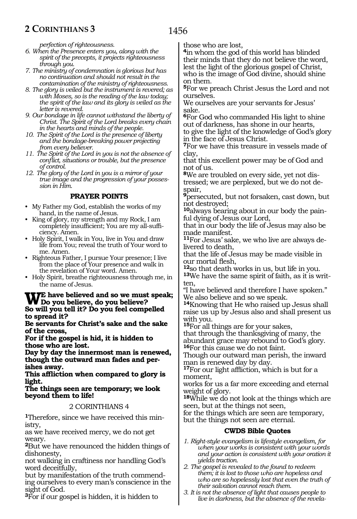*perfection of righteousness.*

- *6. When the Presence enters you, along with the spirit of the precepts, it projects righteousness through you.*
- *7. The ministry of condemnation is glorious but has no continuation and should not result in the contamination of the ministry of righteousness.*
- *8. The glory is veiled but the instrument is revered; as with Moses, so is the reading of the law today; the spirit of the law and its glory is veiled as the letter is revered.*
- *9. Our bondage in life cannot withstand the liberty of Christ. The Spirit of the Lord breaks every chain in the hearts and minds of the people.*
- *10. The Spirit of the Lord is the presence of liberty and the bondage-breaking power projecting from every believer.*
- *11. The Spirit of the Lord in you is not the absence of conflict, situations or trouble, but the presence of control.*
- *12. The glory of the Lord in you is a mirror of your true image and the progression of your possession in Him.*

### **PRAYER POINTS**

- My Father my God, establish the works of my hand, in the name of Jesus.
- King of glory, my strength and my Rock, I am completely insufficient; You are my all-sufficiency. Amen.
- Holy Spirit, I walk in You, live in You and draw life from You; reveal the truth of Your word to me. Amen.
- Righteous Father, I pursue Your presence; I live from the place of Your presence and walk in the revelation of Your word. Amen.
- Holy Spirit, breathe righteousness through me, in the name of Jesus.

# **We have believed and so we must speak; Do you believe, do you believe? So will you tell it? Do you feel compelled**

**to spread it? Be servants for Christ's sake and the sake of the cross,**

**For if the gospel is hid, it is hidden to those who are lost.**

**Day by day the innermost man is renewed, though the outward man fades and perishes away.**

**This affliction when compared to glory is light.**

**The things seen are temporary; we look beyond them to life!**

### 2 CORINTHIANS 4

**1**Therefore, since we have received this ministry,

as we have received mercy, we do not get weary.

**<sup>2</sup>**But we have renounced the hidden things of dishonesty,

not walking in craftiness nor handling God's word deceitfully,

but by manifestation of the truth commending ourselves to every man's conscience in the sight of God.

**<sup>3</sup>**For if our gospel is hidden, it is hidden to

those who are lost,

**<sup>4</sup>**in whom the god of this world has blinded their minds that they do not believe the word, lest the light of the glorious gospel of Christ, who is the image of God divine, should shine on them.

**<sup>5</sup>**For we preach Christ Jesus the Lord and not ourselves.

We ourselves are your servants for Jesus' sake.

**<sup>6</sup>**For God who commanded His light to shine out of darkness, has shone in our hearts, to give the light of the knowledge of God's glory in the face of Jesus Christ.

**<sup>7</sup>**For we have this treasure in vessels made of clay,

that this excellent power may be of God and not of us.

**8**We are troubled on every side, yet not distressed; we are perplexed, but we do not despair,

**<sup>9</sup>**persecuted, but not forsaken, cast down, but not destroyed;

**10**always bearing about in our body the painful dying of Jesus our Lord,

that in our body the life of Jesus may also be made manifest.

**11**For Jesus' sake, we who live are always delivered to death,

that the life of Jesus may be made visible in our mortal flesh,<br><sup>12</sup>so that death works in us, but life in you.

**13**We have the same spirit of faith, as it is written,

"I have believed and therefore I have spoken." We also believe and so we speak.

**<sup>14</sup>**Knowing that He who raised up Jesus shall raise us up by Jesus also and shall present us with you.

**<sup>15</sup>**For all things are for your sakes,

that through the thanksgiving of many, the abundant grace may rebound to God's glory. **<sup>16</sup>**For this cause we do not faint.

Though our outward man perish, the inward man is renewed day by day.

**<sup>17</sup>**For our light affliction, which is but for a moment,

works for us a far more exceeding and eternal weight of glory.

**<sup>18</sup>**While we do not look at the things which are seen, but at the things not seen,

for the things which are seen are temporary, but the things not seen are eternal.

- *1. Right-style evangelism is lifestyle evangelism, for when your works is consistent with your words and your action is consistent with your oration it yields traction.*
- *2. The gospel is revealed to the found to redeem them; it is lost to those who are hopeless and who are so hopelessly lost that even the truth of their salvation cannot reach them.*
- *3. It is not the absence of light that causes people to live in darkness, but the absence of the revela-*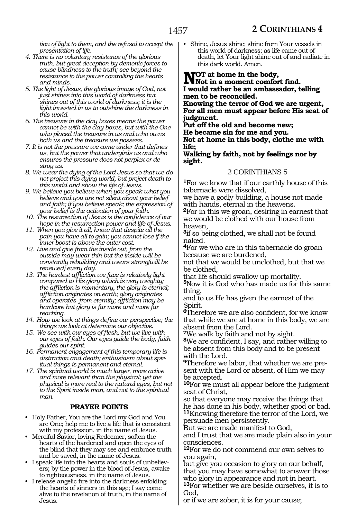*tion of light to them, and the refusal to accept the presentation of life.*

- *4. There is no voluntary resistance of the glorious truth, but great deception by demonic forces to cause blindness to the truth; see beyond the resistance to the power controlling the hearts and minds.*
- *5. The light of Jesus, the glorious image of God, not just shines into this world of darkness but shines out of this world of darkness; it is the light invested in us to outshine the darkness in this world.*
- *6. The treasure in the clay boxes means the power cannot be with the clay boxes, but with the One who placed the treasure in us and who owns both us and the treasure we possess.*
- *7. It is not the pressure we come under that defines us, but the power that undergirds us and who ensures the pressure does not perplex or destroy us.*
- *8. We wear the dying of the Lord Jesus so that we do not project this dying world, but project death to this world and show the life of Jesus.*
- *9. We believe you believe when you speak what you believe and you are not silent about your belief and faith; if you believe speak; the expression of your belief is the activation of your faith.*
- *10. The resurrection of Jesus is the confidence of our hope in the resurrection power and life of Jesus.*
- *11. When you give it all, know that despite all the pain you have all to gain; you cannot lose if the inner boost is above the outer cost.*
- *12. Live and give from the inside out, from the outside may wear thin but the inside will be constantly rebuilding and wears strong(will be renewed) every day.*
- *13. The hardest affliction we face is relatively light compared to His glory which is very weighty; the affliction is momentary, the glory is eternal; affliction originates on earth; glory originates and operates from eternity; affliction may be hardcore but glory is far more and more far reaching.*
- *14. How we look at things define our perspective; the things we look at determine our objective.*
- *15. We see with our eyes of flesh, but we live with our eyes of faith. Our eyes guide the body, faith guides our spirit.*
- *16. Permanent engagement of this temporary life is distraction and death; enthusiasm about spiritual things is permanent and eternal.*
- *17. The spiritual world is much larger, more active and more relevant than the physical; yet the physical is more real to the natural eyes, but not to the Spirit inside man, and not to the spiritual man.*

### **PRAYER POINTS**

- Holy Father, You are the Lord my God and You are One; help me to live a life that is consistent with my profession, in the name of Jesus.
- Merciful Savior, loving Redeemer, soften the hearts of the hardened and open the eyes of the blind that they may see and embrace truth and be saved, in the name of Jesus.
- I speak life into the hearts and souls of unbelievers; by the power in the blood of Jesus, awake to righteousness, in the name of Jesus.
- I release angelic fire into the darkness enfolding the hearts of sinners in this age; I say come alive to the revelation of truth, in the name of Jesus.

• Shine, Jesus shine; shine from Your vessels in this world of darkness; as life came out of death, let Your light shine out of and radiate in this dark world. Amen.

**NOT** at home in the body,<br> **Not** in a moment comfort find. **I would rather be an ambassador, telling men to be reconciled. Knowing the terror of God we are urgent,**

**For all men must appear before His seat of judgment.**

**Put off the old and become new;**

**He became sin for me and you.**

**Not at home in this body, clothe me with life;**

**Walking by faith, not by feelings nor by sight.** 

### 2 CORINTHIANS 5

**<sup>1</sup>**For we know that if our earthly house of this tabernacle were dissolved,

we have a godly building, a house not made with hands, eternal in the heavens.

**<sup>2</sup>**For in this we groan, desiring in earnest that we would be clothed with our house from heaven,

**<sup>3</sup>**if so being clothed, we shall not be found naked.

**<sup>4</sup>**For we who are in this tabernacle do groan because we are burdened,

not that we would be unclothed, but that we be clothed,

that life should swallow up mortality.

**<sup>5</sup>**Now it is God who has made us for this same thing,

and to us He has given the earnest of the Spirit.

**<sup>6</sup>**Therefore we are also confident, for we know that while we are at home in this body, we are absent from the Lord.

**<sup>7</sup>**We walk by faith and not by sight.

**<sup>8</sup>**We are confident, I say, and rather willing to be absent from this body and to be present with the Lord.

**9**Therefore we labor, that whether we are present with the Lord or absent, of Him we may be accepted.

**<sup>10</sup>**For we must all appear before the judgment seat of Christ,

so that everyone may receive the things that he has done in his body, whether good or bad. **<sup>11</sup>**Knowing therefore the terror of the Lord, we persuade men persistently.

But we are made manifest to God,

and I trust that we are made plain also in your consciences.

**<sup>12</sup>**For we do not commend our own selves to you again,

but give you occasion to glory on our behalf, that you may have somewhat to answer those who glory in appearance and not in heart. **<sup>13</sup>**For whether we are beside ourselves, it is to God,

or if we are sober, it is for your cause;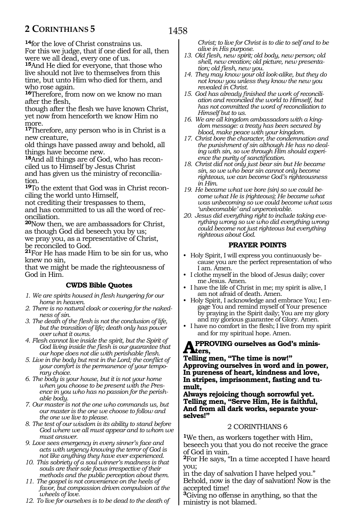**<sup>14</sup>**for the love of Christ constrains us. For this we judge, that if one died for all, then were we all dead, every one of us.

**<sup>15</sup>**And He died for everyone, that those who live should not live to themselves from this time, but unto Him who died for them, and who rose again.

**<sup>16</sup>**Therefore, from now on we know no man after the flesh,

though after the flesh we have known Christ, yet now from henceforth we know Him no more.

**<sup>17</sup>**Therefore, any person who is in Christ is a new creature,

old things have passed away and behold, all things have become new.

**18**And all things are of God, who has reconciled us to Himself by Jesus Christ

and has given us the ministry of reconciliation.

**19**To the extent that God was in Christ reconciling the world unto Himself,

not crediting their trespasses to them, and has committed to us all the word of reconciliation.

**<sup>20</sup>**Now then, we are ambassadors for Christ, as though God did beseech you by us; we pray you, as a representative of Christ, be reconciled to God.

**<sup>21</sup>**For He has made Him to be sin for us, who knew no sin,

that we might be made the righteousness of God in Him.

### **CWDS Bible Quotes**

- *1. We are spirits housed in flesh hungering for our home in heaven.*
- *2. There is no natural cloak or covering for the nakedness of sin.*
- *3. The death of the flesh is not the conclusion of life, but the transition of life; death only has power over what it owns.*
- *4. Flesh cannot live inside the spirit, but the Spirit of God living inside the flesh is our guarantee that our hope does not die with perishable flesh.*
- *5. Live in the body but rest in the Lord; the conflict of your comfort is the permanence of your temporary choice.*

*6. The body is your house, but it is not your home when you choose to be present with the Presence in you who has no passion for the perishable body.*

*7. Our master is not the one who commands us, but our master is the one we choose to follow and the one we live to please.*

*8. The test of our wisdom is its ability to stand before God where we all must appear and to whom we must answer.*

*9. Love sees emergency in every sinner's face and acts with urgency knowing the terror of God is not like anything they have ever experienced.*

*10. This sobriety of a soul winner's madness is that souls are their sole focus irrespective of their methods and the public perception about them.*

*11. The gospel is not convenience on the heels of favor, but compassion driven compulsion at the wheels of love.*

*12. To live for ourselves is to be dead to the death of* 

*Christ; to live for Christ is to die to self and to be alive in His purpose.*

- *13. Old flesh, new spirit; old body, new person; old shell, new creation; old picture, new presentation; old flesh, new you.*
- *14. They may know your old look-alike, but they do not know you unless they know the new you revealed in Christ.*
- *15. God has already finished the work of reconciliation and reconciled the world to Himself, but has not committed the word of reconciliation to Himself but to us.*
- *16. We are all kingdom ambassadors with a kingdom message: a treaty has been secured by blood, make peace with your kingdom.*
- *17. Christ bore the character, the condemnation and the punishment of sin although He has no dealing with sin, so we through Him should experience the purity of sanctification.*
- *18. Christ did not only just bear sin but He became sin, so we who bear sin cannot only become righteous, we can become God's righteousness in Him.*
- *19. He became what we bore (sin) so we could become what He is (righteous); He became what was unbecoming so we could become what was 'unbecomable' and unperceivable.*

*20. Jesus did everything right to include taking everything wrong so we who did everything wrong could become not just righteous but everything righteous about God.* 

### **PRAYER POINTS**

- Holy Spirit, I will express you continuously because you are the perfect representation of who I am. Amen.
- I clothe myself in the blood of Jesus daily; cover me Jesus. Amen.
- I have the life of Christ in me; my spirit is alive, I am not afraid of death. Amen.
- Holy Spirit, I acknowledge and embrace You; I engage You and remind myself of Your presence by praying in the Spirit daily; You are my glory and my glorious guarantee of Glory. Amen.
- I have no comfort in the flesh; I live from my spirit and for my spiritual hope. Amen.

### **Approving ourselves as God's minis-** $A<sub>ters</sub>$

**Telling men, "The time is now!" Approving ourselves in word and in power, In pureness of heart, kindness and love, In stripes, imprisonment, fasting and tumult,**

**Always rejoicing though sorrowful yet. Telling men, "Serve Him, He is faithful, And from all dark works, separate yourselves!"**

### 2 CORINTHIANS 6

**<sup>1</sup>**We then, as workers together with Him, beseech you that you do not receive the grace of God in vain.

**<sup>2</sup>**For He says, "In a time accepted I have heard you;

in the day of salvation I have helped you." Behold, now is the day of salvation! Now is the accepted time!

**<sup>3</sup>**Giving no offense in anything, so that the ministry is not blamed.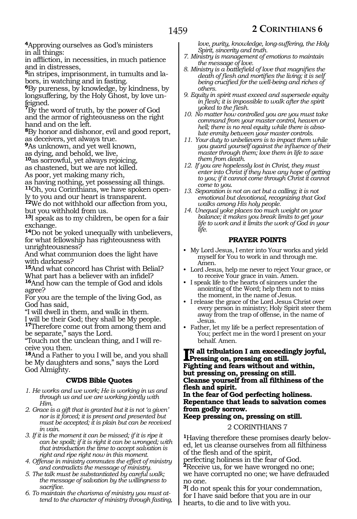**<sup>4</sup>**Approving ourselves as God's ministers in all things:

in affliction, in necessities, in much patience and in distresses,

**5**in stripes, imprisonment, in tumults and labors, in watching and in fasting.

**<sup>6</sup>**By pureness, by knowledge, by kindness, by longsuffering, by the Holy Ghost, by love unfeigned.

**<sup>7</sup>**By the word of truth, by the power of God and the armor of righteousness on the right hand and on the left.

**<sup>8</sup>**By honor and dishonor, evil and good report, as deceivers, yet always true.

**<sup>9</sup>**As unknown, and yet well known,

as dying, and behold, we live,

**<sup>10</sup>**as sorrowful, yet always rejoicing,

as chastened, but we are not killed.

As poor, yet making many rich,

as having nothing, yet possessing all things. **11**Oh, you Corinthians, we have spoken openly to you and our heart is transparent.

**<sup>12</sup>**We do not withhold our affection from you, but you withhold from us.

**<sup>13</sup>**I speak as to my children, be open for a fair exchange.

**<sup>14</sup>**Do not be yoked unequally with unbelievers, for what fellowship has righteousness with unrighteousness?

And what communion does the light have with darkness?

**<sup>15</sup>**And what concord has Christ with Belial? What part has a believer with an infidel?

**<sup>16</sup>**And how can the temple of God and idols agree?

For you are the temple of the living God, as God has said,

"I will dwell in them, and walk in them. I will be their God; they shall be My people.

**<sup>17</sup>**Therefore come out from among them and be separate," says the Lord.

"Touch not the unclean thing, and I will re- ceive you then.

**<sup>18</sup>**And a Father to you I will be, and you shall be My daughters and sons," says the Lord God Almighty.

### **CWDS Bible Quotes**

- *1. He works and we work; He is working in us and through us and we are working jointly with Him.*
- *2. Grace is a gift that is granted but it is not 'a given' nor is it forced; it is present and presented but must be accepted; it is plain but can be received in vain.*
- *3. If it is the moment it can be missed; if it is ripe it can be spoilt; if it is right it can be wronged; with that introduction the time to accept salvation is right and ripe right now in this moment.*
- *4. Offense in ministry commutes the effect of ministry and contradicts the message of ministry.*
- *5. The talk must be substantiated by careful walk; the message of salvation by the willingness to sacrifice.*
- *6. To maintain the charisma of ministry you must attend to the character of ministry through fasting,*

*love, purity, knowledge, long-suffering, the Holy Spirit, sincerity and truth.*

- *7. Ministry is management of emotions to maintain the message of love.*
- *8. Ministry is a battlefield of love that magnifies the death of flesh and mortifies the living; it is self being crucified for the well-being and riches of others.*
- *9. Equity in spirit must exceed and supersede equity in flesh; it is impossible to walk after the spirit yoked to the flesh.*
- *10. No matter how controlled you are you must take command from your master control, heaven or hell; there is no real equity while there is absolute enmity between your master controls.*
- *11. Your duty to unbelievers is to impact them while you guard yourself against the influence of their master through them; love them in life to save them from death.*
- *12. If you are hopelessly lost in Christ, they must enter into Christ if they have any hope of getting to you; if it cannot come through Christ it cannot come to you.*
- *13. Separation is not an act but a calling; it is not emotional but devotional, recognizing that God walks among His holy people.*
- *14. Unequal yoke places too much weight on your balance; it makes you break limits to get your life to work and it limits the work of God in your life.*

### **PRAYER POINTS**

- My Lord Jesus, I enter into Your works and yield myself for You to work in and through me. Amen.
- Lord Jesus, help me never to reject Your grace, or to receive Your grace in vain. Amen.
- I speak life to the hearts of sinners under the anointing of the Word; help them not to miss the moment, in the name of Jesus.
- I release the grace of the Lord Jesus Christ over every person in ministry; Holy Spirit steer them away from the trap of offense, in the name of Jesus.
- Father, let my life be a perfect representation of You; perfect me in the word I present on your behalf. Amen.

**I**N all tribulation I am exceedingly joyful,<br>Pressing on, pressing on still.<br>Eighting and form without and within **Pressing on, pressing on still. Fighting and fears without and within, but pressing on, pressing on still. Cleanse yourself from all filthiness of the flesh and spirit.**

**In the fear of God perfecting holiness. Repentance that leads to salvation comes from godly sorrow.**

### **Keep pressing on, pressing on still.**

### 2 CORINTHIANS 7

**1**Having therefore these promises dearly beloved, let us cleanse ourselves from all filthiness of the flesh and of the spirit,

perfecting holiness in the fear of God. **<sup>2</sup>**Receive us, for we have wronged no one;

we have corrupted no one; we have defrauded no one.

**<sup>3</sup>**I do not speak this for your condemnation, for I have said before that you are in our hearts, to die and to live with you.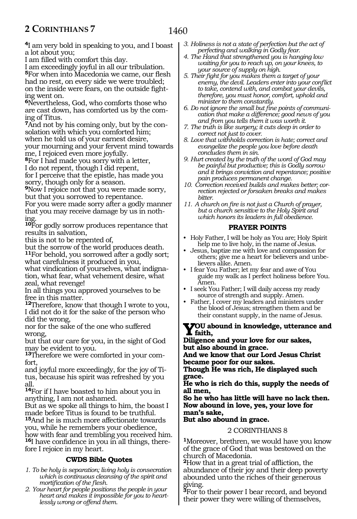**<sup>4</sup>**I am very bold in speaking to you, and I boast a lot about you;

I am filled with comfort this day.

I am exceedingly joyful in all our tribulation. **<sup>5</sup>**For when into Macedonia we came, our flesh had no rest, on every side we were troubled; on the inside were fears, on the outside fighting went on.

**<sup>6</sup>**Nevertheless, God, who comforts those who are cast down, has comforted us by the coming of Titus.

**<sup>7</sup>**And not by his coming only, but by the con- solation with which you comforted him; when he told us of your earnest desire, your mourning and your fervent mind towards me, I rejoiced even more joyfully.

**<sup>8</sup>**For I had made you sorry with a letter, I do not repent, though I did repent, for I perceive that the epistle, has made you sorry, though only for a season.

**<sup>9</sup>**Now I rejoice not that you were made sorry, but that you sorrowed to repentance.

For you were made sorry after a godly manner that you may receive damage by us in nothing.

**<sup>10</sup>**For godly sorrow produces repentance that results in salvation,

this is not to be repented of,

but the sorrow of the world produces death. **<sup>11</sup>**For behold, you sorrowed after a godly sort; what carefulness it produced in you,

what vindication of yourselves, what indignation, what fear, what vehement desire, what zeal, what revenge!

In all things you approved yourselves to be free in this matter.

**<sup>12</sup>**Therefore, know that though I wrote to you, I did not do it for the sake of the person who did the wrong,

nor for the sake of the one who suffered wrong,

but that our care for you, in the sight of God may be evident to you.

**13**Therefore we were comforted in your comfort,

and joyful more exceedingly, for the joy of Titus, because his spirit was refreshed by you all.

**<sup>14</sup>**For if I have boasted to him about you in anything, I am not ashamed.

But as we spoke all things to him, the boast I made before Titus is found to be truthful.

**<sup>15</sup>**And he is much more affectionate towards you, while he remembers your obedience, how with fear and trembling you received him. **<sup>16</sup>**I have confidence in you in all things, there- fore I rejoice in my heart.

### **CWDS Bible Quotes**

- *1. To be holy is separation; living holy is consecration which is continuous cleansing of the spirit and mortification of the flesh.*
- *2. Your heart for people positions the people in your heart and makes it impossible for you to heartlessly wrong or offend them.*
- *3. Holiness is not a state of perfection but the act of perfecting and walking in Godly fear.*
- *4. The Hand that strengthened you is hanging low waiting for you to reach up, on your knees, to your source of supply on high.*
- *5. Their fight for you makes them a target of your enemy, the devil. Leaders enter into your conflict to take, contend with, and combat your devils, therefore, you must honor, comfort, uphold and minister to them constantly.*
- *6. Do not ignore the small but fine points of communication that make a difference; good news of you and from you tells them it was worth it.*
- *7. The truth is like surgery; it cuts deep in order to correct not just to cover.*
- *8. Love that withholds correction is hate; correct and evangelize the people you love before death concludes them in sin.*
- *9. Hurt created by the truth of the word of God may be painful but productive; this is Godly sorrow and it brings conviction and repentance; positive pain produces permanent change.*
- *10. Correction received builds and makes better; correction rejected or forsaken breaks and makes bitter.*
- *11. A church on fire is not just a Church of prayer, but a church sensitive to the Holy Spirit and which honors its leaders in full obedience.*

### **PRAYER POINTS**

- Holy Father, I will be holy as You are; Holy Spirit help me to live holy, in the name of Jesus.
- Jesus, baptize me with love and compassion for others; give me a heart for believers and unbelievers alike. Amen.
- I fear You Father; let my fear and awe of You guide my walk as I perfect holiness before You. Amen.
- I seek You Father; I will daily access my ready source of strength and supply. Amen.
- Father, I cover my leaders and ministers under the blood of Jesus; strengthen them and be their constant supply, in the name of Jesus.

### **You abound in knowledge, utterance and faith,**

**Diligence and your love for our sakes, but also abound in grace.**

**And we know that our Lord Jesus Christ became poor for our sakes.**

**Though He was rich, He displayed such grace.**

**He who is rich do this, supply the needs of all men,**

**So he who has little will have no lack then. Now abound in love, yes, your love for man's sake,**

**But also abound in grace.**

### 2 CORINTHIANS 8

**<sup>1</sup>**Moreover, brethren, we would have you know of the grace of God that was bestowed on the church of Macedonia.

**<sup>2</sup>**How that in a great trial of affliction, the abundance of their joy and their deep poverty abounded unto the riches of their generous giving.

**<sup>3</sup>**For to their power I bear record, and beyond their power they were willing of themselves,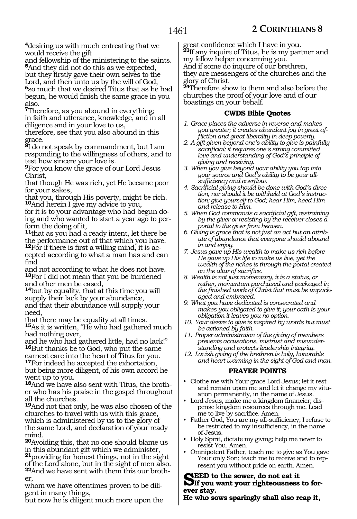**<sup>4</sup>**desiring us with much entreating that we would receive the gift

and fellowship of the ministering to the saints. **<sup>5</sup>**And they did not do this as we expected, but they firstly gave their own selves to the Lord, and then unto us by the will of God, **<sup>6</sup>**so much that we desired Titus that as he had begun, he would finish the same grace in you also.

**<sup>7</sup>**Therefore, as you abound in everything; in faith and utterance, knowledge, and in all diligence and in your love to us,

therefore, see that you also abound in this grace.

**<sup>8</sup>**I do not speak by commandment, but I am responding to the willingness of others, and to test how sincere your love is.

**<sup>9</sup>**For you know the grace of our Lord Jesus Christ,

that though He was rich, yet He became poor for your sakes,

that you, through His poverty, might be rich. **<sup>10</sup>**And herein I give my advice to you,

for it is to your advantage who had begun doing and who wanted to start a year ago to perform the doing of it,

**<sup>11</sup>**that as you had a ready intent, let there be the performance out of that which you have. **12**For if there is first a willing mind, it is ac-

cepted according to what a man has and can find

and not according to what he does not have. **<sup>13</sup>**For I did not mean that you be burdened and other men be eased,

**<sup>14</sup>**but by equality, that at this time you will supply their lack by your abundance, and that their abundance will supply your need,

that there may be equality at all times. **<sup>15</sup>**As it is written, "He who had gathered much had nothing over,

and he who had gathered little, had no lack!" **<sup>16</sup>**But thanks be to God, who put the same earnest care into the heart of Titus for you. **<sup>17</sup>**For indeed he accepted the exhortation, but being more diligent, of his own accord he went up to you.

**18**And we have also sent with Titus, the brother who has his praise in the gospel throughout all the churches.

**<sup>19</sup>**And not that only, he was also chosen of the churches to travel with us with this grace, which is administered by us to the glory of the same Lord, and declaration of your ready mind.

**<sup>20</sup>**Avoiding this, that no one should blame us in this abundant gift which we administer, **<sup>21</sup>**providing for honest things, not in the sight of the Lord alone, but in the sight of men also. **22**And we have sent with them this our brother,

whom we have oftentimes proven to be diligent in many things,

but now he is diligent much more upon the

great confidence which I have in you. **<sup>23</sup>**If any inquire of Titus, he is my partner and my fellow helper concerning you.

And if some do inquire of our brethren, they are messengers of the churches and the glory of Christ.

**<sup>24</sup>**Therefore show to them and also before the churches the proof of your love and of our boastings on your behalf.

### **CWDS Bible Quotes**

- *1. Grace places the adverse in reverse and makes you greater; it creates abundant joy in great affliction and great liberality in deep poverty.*
- *2. A gift given beyond one's ability to give is painfully sacrificial; it requires one's strong committed love and understanding of God's principle of giving and receiving.*
- *3. When you give beyond your ability you tap into your source and God's ability to be your allsufficiency and overflow.*
- *4. Sacrificial giving should be done with God's direction, nor should it be withheld at God's instruction; give yourself to God; hear Him, heed Him and release to Him.*
- *5. When God commands a sacrificial gift, restraining by the giver or resisting by the receiver closes a portal to the giver from heaven.*
- *6. Giving is grace that is not just an act but an attribute of abundance that everyone should abound in and enjoy.*
- *7. Jesus gave up His wealth to make us rich before He gave up His life to make us live, yet the wealth of the riches is through the portal created on the altar of sacrifice.*
- *8. Wealth is not just momentary, it is a status, or rather, momentum purchased and packaged in the finished work of Christ that must be unpackaged and embraced.*

*9. What you have dedicated is consecrated and makes you obligated to give it; your oath is your obligation it leaves you no option.*

- *10. Your desire to give is inspired by words but must be actioned by faith.*
- *11. Proper administration of the giving of members prevents accusations, mistrust and misunderstanding and protects leadership integrity.*
- *12. Lavish giving of the brethren is holy, honorable and heart-warming in the sight of God and man.*

### **PRAYER POINTS**

- Clothe me with Your grace Lord Jesus; let it rest and remain upon me and let it change my situation permanently, in the name of Jesus.
- Lord Jesus, make me a kingdom financier; dispense kingdom resources through me. Lead me to live by sacrifice. Amen.
- Father God, You are my all-sufficiency; I refuse to be restricted to my insufficiency, in the name of Jesus.
- Holy Spirit, dictate my giving; help me never to resist You. Amen.
- Omnipotent Father, teach me to give as You gave Your only Son; teach me to receive and to represent you without pride on earth. Amen.

**SEED** to the sower, do not eat it<br> **Set of you want your righteousness to for-** ever stay.

**He who sows sparingly shall also reap it,**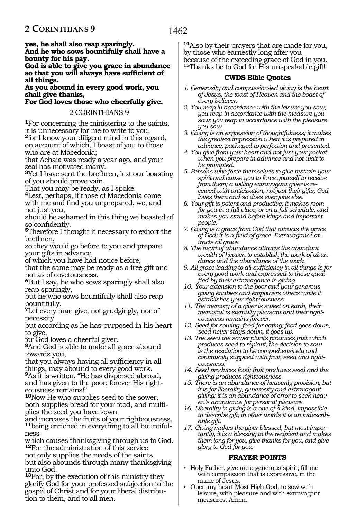**yes, he shall also reap sparingly. And he who sows bountifully shall have a bounty for his pay.**

**God is able to give you grace in abundance so that you will always have sufficient of all things.**

**As you abound in every good work, you shall give thanks,**

**For God loves those who cheerfully give.**

### 2 CORINTHIANS 9

**<sup>1</sup>**For concerning the ministering to the saints, it is unnecessary for me to write to you, **<sup>2</sup>**for I know your diligent mind in this regard, on account of which, I boast of you to those who are at Macedonia;

that Achaia was ready a year ago, and your zeal has motivated many.

**<sup>3</sup>**Yet I have sent the brethren, lest our boasting of you should prove vain.

That you may be ready, as I spoke.

**<sup>4</sup>**Lest, perhaps, if those of Macedonia come with me and find you unprepared, we, and not just you,

should be ashamed in this thing we boasted of so confidently.

**<sup>5</sup>**Therefore I thought it necessary to exhort the brethren,

so they would go before to you and prepare your gifts in advance,

of which you have had notice before,

that the same may be ready as a free gift and not as of covetousness.

**<sup>6</sup>**But I say, he who sows sparingly shall also reap sparingly,

but he who sows bountifully shall also reap bountifully.

**<sup>7</sup>**Let every man give, not grudgingly, nor of necessity

but according as he has purposed in his heart to give,

for God loves a cheerful giver.

**<sup>8</sup>**And God is able to make all grace abound towards you,

that you always having all sufficiency in all things, may abound to every good work.

**<sup>9</sup>**As it is written, "He has dispersed abroad, and has given to the poor; forever His righteousness remains!"

**<sup>10</sup>**Now He who supplies seed to the sower, both supplies bread for your food, and multiplies the seed you have sown

and increases the fruits of your righteousness, **11**being enriched in everything to all bountifulness

which causes thanksgiving through us to God. **<sup>12</sup>**For the administration of this service

not only supplies the needs of the saints but also abounds through many thanksgiving unto God.

**<sup>13</sup>**For, by the execution of this ministry they glorify God for your professed subjection to the gospel of Christ and for your liberal distribution to them, and to all men.

**<sup>14</sup>**Also by their prayers that are made for you, by those who earnestly long after you because of the exceeding grace of God in you. **<sup>15</sup>**Thanks be to God for His unspeakable gift!

### **CWDS Bible Quotes**

- *1. Generosity and compassion-led giving is the heart of Jesus, the toast of Heaven and the boast of every believer.*
- *2. You reap in accordance with the leisure you sow; you reap in accordance with the measure you sow; you reap in accordance with the pleasure you sow.*
- *3. Giving is an expression of thoughtfulness; it makes the greatest impression when it is prepared in advance, packaged to perfection and presented.*
- *4. You give from your heart and not just your pocket when you prepare in advance and not wait to be prompted.*
- *5. Persons who force themselves to give restrain your spirit and cause you to force yourself to receive from them; a willing extravagant giver is received with anticipation, not just their gifts; God loves them and so does everyone else.*
- *6. Your gift is potent and productive; it makes room for you in a full place, or on a full schedule, and makes you stand before kings and important people.*
- *7. Giving is a grace from God that attracts the grace of God; it is a field of grace. Extravagance attracts all grace.*
- *8. The heart of abundance attracts the abundant wealth of heaven to establish the work of abundance and the abundance of the work.*
- *9. All grace leading to all-sufficiency in all things is for every good work and expressed to those qualified by their extravagance in giving.*
- *10. Your extension to the poor and your generous giving enables and empowers others while it establishes your righteousness.*
- *11. The memory of a giver is sweet on earth, their memorial is eternally pleasant and their righteousness remains forever.*
- *12. Seed for sowing, food for eating; food goes down, seed never stays down, it goes up.*
- *13. The seed the sower plants produces fruit which produces seed to replant; the decision to sow is the resolution to be comprehensively and continually supplied with fruit, seed and righteousness.*
- *14. Seed produces food; fruit produces seed and the giving produces righteousness.*
- *15. There is an abundance of heavenly provision, but it is for liberality, generosity and extravagant giving; it is an abundance of error to seek heaven's abundance for personal pleasure.*
- *16. Liberality in giving is a one of a kind, impossible to describe gift; in other words it is an indescribable gift.*
- *17. Giving makes the giver blessed, but most importantly, it is a blessing to the recipient and makes them long for you, give thanks for you, and give glory to God for you.*

### **PRAYER POINTS**

- Holy Father, give me a generous spirit; fill me with compassion that is expressive, in the name of Jesus.
- Open my heart Most High God, to sow with leisure, with pleasure and with extravagant measures. Amen.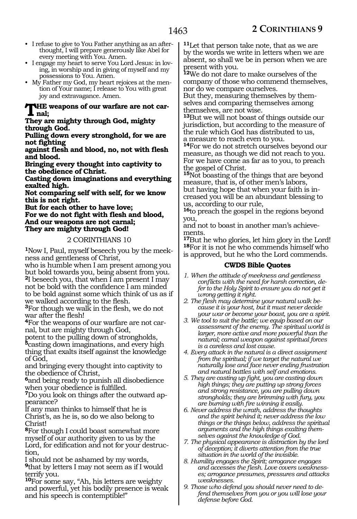- I refuse to give to You Father anything as an afterthought, I will prepare generously like Abel for every meeting with You. Amen.
- I engage my heart to serve You Lord Jesus: in loving, in worship and in giving of myself and my possessions to You. Amen.
- My Father my God, my heart rejoices at the mention of Your name; I release to You with great joy and extravagance. Amen.

#### **The weapons of our warfare are not carnal;**

**They are mighty through God, mighty through God.**

**Pulling down every stronghold, for we are not fighting**

**against flesh and blood, no, not with flesh and blood.**

**Bringing every thought into captivity to the obedience of Christ.**

**Casting down imaginations and everything exalted high.**

**Not comparing self with self, for we know this is not right.**

**But for each other to have love; For we do not fight with flesh and blood, And our weapons are not carnal; They are mighty through God!**

### 2 CORINTHIANS 10

**1**Now I, Paul, myself beseech you by the meekness and gentleness of Christ,

who is humble when I am present among you but bold towards you, being absent from you. **<sup>2</sup>**I beseech you, that when I am present I may not be bold with the confidence I am minded to be bold against some which think of us as if we walked according to the flesh.

**<sup>3</sup>**For though we walk in the flesh, we do not war after the flesh!

**4**For the weapons of our warfare are not carnal, but are mighty through God,

potent to the pulling down of strongholds, **<sup>5</sup>**casting down imaginations, and every high thing that exalts itself against the knowledge of God,

and bringing every thought into captivity to the obedience of Christ,

**<sup>6</sup>**and being ready to punish all disobedience when your obedience is fulfilled.

**7**Do you look on things after the outward appearance?

If any man thinks to himself that he is Christ's, as he is, so do we also belong to Christ!

**<sup>8</sup>**For though I could boast somewhat more myself of our authority given to us by the Lord, for edification and not for your destruction,

I should not be ashamed by my words, **<sup>9</sup>**that by letters I may not seem as if I would terrify you.

**<sup>10</sup>**For some say, "Ah, his letters are weighty and powerful, yet his bodily presence is weak and his speech is contemptible!"

**<sup>11</sup>**Let that person take note, that as we are by the words we write in letters when we are absent, so shall we be in person when we are present with you.

**<sup>12</sup>**We do not dare to make ourselves of the company of those who commend themselves, nor do we compare ourselves.

But they, measuring themselves by themselves and comparing themselves among themselves, are not wise.

**<sup>13</sup>**But we will not boast of things outside our jurisdiction, but according to the measure of the rule which God has distributed to us, a measure to reach even to you.

**<sup>14</sup>**For we do not stretch ourselves beyond our measure, as though we did not reach to you. For we have come as far as to you, to preach the gospel of Christ.

**<sup>15</sup>**Not boasting of the things that are beyond measure, that is, of other men's labors, but having hope that when your faith is increased you will be an abundant blessing to us, according to our rule,

**<sup>16</sup>**to preach the gospel in the regions beyond you,

and not to boast in another man's achievements.

**<sup>17</sup>**But he who glories, let him glory in the Lord! **18**For it is not he who commends himself who is approved, but he who the Lord commends.

- *1. When the attitude of meekness and gentleness conflicts with the need for harsh correction, defer to the Holy Spirit to ensure you do not get it wrong getting it right.*
- *2. The flesh may determine your natural walk because it is your host, but it must never decide your war or become your boast, you are a spirit.*
- *3. We tool to suit the battle; we equip based on our assessment of the enemy. The spiritual world is larger, more active and more powerful than the natural; carnal weapon against spiritual forces is a careless and lost cause.*
- *4. Every attack in the natural is a direct assignment from the spiritual; if we target the natural we naturally lose and face never ending frustration and natural battles with self and emotions.*
- *5. They are casting up fight, you are casting down high things; they are putting up strong forces and strong resistance, you are pulling down strongholds; they are brimming with fury, you are burning with fire winning it easily.*
- *6. Never address the wrath, address the thoughts and the spirit behind it; never address the low things or the things below, address the spiritual arguments and the high things exalting themselves against the knowledge of God.*
- *7. The physical appearance is distraction by the lord of deception; it diverts attention from the true situation in the world of the invisible.*
- *8. Humility engages the Spirit; arrogance engages and accesses the flesh. Love covers weaknesses; arrogance presumes, pressures and attacks weaknesses.*
- *9. Those who defend you should never need to defend themselves from you or you will lose your defense before God.*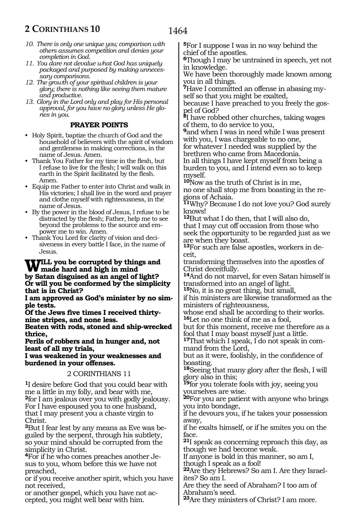- *10. There is only one unique you; comparison with others assumes competition and denies your completion in God.*
- *11. You dare not devalue what God has uniquely packaged and purposed by making unnecessary comparisons.*
- *12. The growth of your spiritual children is your glory; there is nothing like seeing them mature and productive.*

*13. Glory in the Lord only and play for His personal approval, for you have no glory unless He glories in you.* 

### **PRAYER POINTS**

- Holy Spirit, baptize the church of God and the household of believers with the spirit of wisdom and gentleness in making corrections, in the name of Jesus. Amen.
- Thank You Father for my time in the flesh, but I refuse to live for the flesh; I will walk on this earth in the Spirit facilitated by the flesh. Amen.
- Equip me Father to enter into Christ and walk in His victories; I shall live in the word and prayer and clothe myself with righteousness, in the name of Jesus.
- By the power in the blood of Jesus, I refuse to be distracted by the flesh; Father, help me to see beyond the problems to the source and empower me to win. Amen.
- Thank You Lord for clarity of vision and decisiveness in every battle I face, in the name of Jesus.

### WILL you be corrupted by things and<br>
hard and high in mind<br>
hard the standard and negative fight? **by Satan disguised as an angel of light? Or will you be conformed by the simplicity that is in Christ?**

**I am approved as God's minister by no simple tests.**

**Of the Jews five times I received thirtynine stripes, and none less.**

**Beaten with rods, stoned and ship-wrecked thrice,**

**Perils of robbers and in hunger and, not least of all my trials,**

**I was weakened in your weaknesses and burdened in your offenses.**

### 2 CORINTHIANS 11

**<sup>1</sup>**I desire before God that you could bear with me a little in my folly, and bear with me, **<sup>2</sup>**for I am jealous over you with godly jealousy. For I have espoused you to one husband, that I may present you a chaste virgin to Christ.

**3**But I fear lest by any means as Eve was beguiled by the serpent, through his subtlety, so your mind should be corrupted from the simplicity in Christ.

**4**For if he who comes preaches another Jesus to you, whom before this we have not preached,

or if you receive another spirit, which you have not received,

or another gospel, which you have not accepted, you might well bear with him.

**<sup>5</sup>**For I suppose I was in no way behind the chief of the apostles.

**<sup>6</sup>**Though I may be untrained in speech, yet not in knowledge.

We have been thoroughly made known among you in all things.

**7**Have I committed an offense in abasing myself so that you might be exalted,

because I have preached to you freely the gospel of God?

**<sup>8</sup>**I have robbed other churches, taking wages of them, to do service to you,

**<sup>9</sup>**and when I was in need while I was present with you, I was chargeable to no one, for whatever I needed was supplied by the

brethren who came from Macedonia. In all things I have kept myself from being a burden to you, and I intend even so to keep myself.

**<sup>10</sup>**Now as the truth of Christ is in me, no one shall stop me from boasting in the regions of Achaia.

**<sup>11</sup>**Why? Because I do not love you? God surely knows!

**<sup>12</sup>**But what I do then, that I will also do, that I may cut off occasion from those who seek the opportunity to be regarded just as we are when they boast.

**13**For such are false apostles, workers in deceit,

transforming themselves into the apostles of Christ deceitfully.

**<sup>14</sup>**And do not marvel, for even Satan himself is transformed into an angel of light.

**<sup>15</sup>**No, it is no great thing, but small,

if his ministers are likewise transformed as the ministers of righteousness,

whose end shall be according to their works. **<sup>16</sup>**Let no one think of me as a fool,

but for this moment, receive me therefore as a fool that I may boast myself just a little.

**17**That which I speak, I do not speak in command from the Lord,

but as it were, foolishly, in the confidence of boasting.

**<sup>18</sup>**Seeing that many glory after the flesh, I will glory also in this;

**<sup>19</sup>**for you tolerate fools with joy, seeing you yourselves are wise.

**<sup>20</sup>**For you are patient with anyone who brings you into bondage,

if he devours you, if he takes your possession away,

if he exalts himself, or if he smites you on the face.

**<sup>21</sup>**I speak as concerning reproach this day, as though we had become weak.

If anyone is bold in this manner, so am I,

though I speak as a fool!

**22**Are they Hebrews? So am I. Are they Israelites? So am I.

Are they the seed of Abraham? I too am of Abraham's seed.

**<sup>23</sup>**Are they ministers of Christ? I am more.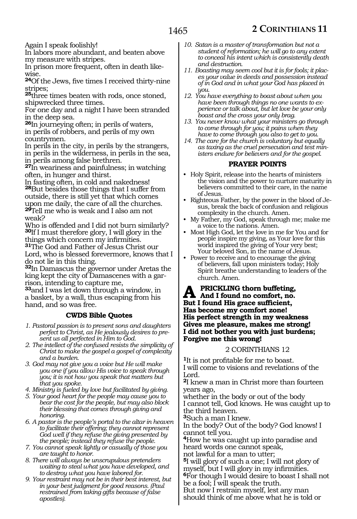Again I speak foolishly!

In labors more abundant, and beaten above my measure with stripes.

In prison more frequent, often in death likewise.

**<sup>24</sup>**Of the Jews, five times I received thirty-nine stripes;

**<sup>25</sup>**three times beaten with rods, once stoned, shipwrecked three times.

For one day and a night I have been stranded in the deep sea.

**<sup>26</sup>**In journeying often; in perils of waters, in perils of robbers, and perils of my own countrymen.

In perils in the city, in perils by the strangers, in perils in the wilderness, in perils in the sea, in perils among false brethren.

**<sup>27</sup>**In weariness and painfulness; in watching often, in hunger and thirst.

In fasting often, in cold and nakedness! **<sup>28</sup>**But besides those things that I suffer from outside, there is still yet that which comes upon me daily, the care of all the churches. **<sup>29</sup>**Tell me who is weak and I also am not weak?

Who is offended and I did not burn similarly? **<sup>30</sup>**If I must therefore glory, I will glory in the things which concern my infirmities.

**<sup>31</sup>**The God and Father of Jesus Christ our Lord, who is blessed forevermore, knows that I do not lie in this thing.

**<sup>32</sup>**In Damascus the governor under Aretas the king kept the city of Damascenes with a garrison, intending to capture me,

**<sup>33</sup>**and I was let down through a window, in a basket, by a wall, thus escaping from his hand, and so was free.

### **CWDS Bible Quotes**

- *1. Pastoral passion is to present sons and daughters perfect to Christ, as He jealously desires to present us all perfected in Him to God.*
- *2. The intellect of the confused resists the simplicity of Christ to make the gospel a gospel of complexity and a burden.*
- *3. God may not give you a voice but He will make you one if you allow His voice to speak through you; it is not how you speak that matters but that you spoke.*
- *4. Ministry is fueled by love but facilitated by giving.*
- *5. Your good heart for the people may cause you to bear the cost for the people, but may also block their blessing that comes through giving and honoring.*
- *6. A pastor is the people's portal to the altar in heaven to facilitate their offering; they cannot represent God well if they refuse the giving presented by the people; instead they refuse the people.*
- *7. You cannot speak lightly or casually of those you are taught to honor.*
- *8. There will always be unscrupulous pretenders waiting to steal what you have developed, and to destroy what you have labored for.*
- *9. Your restraint may not be in their best interest, but in your best judgment for good reasons. (Paul restrained from taking gifts because of false apostles).*
- *10. Satan is a master of transformation but not a student of reformation; he will go to any extent to conceal his intent which is consistently death and destruction.*
- *11. Boasting may seem cool but it is for fools; it places your value in deeds and possession instead of in God and in what your God has placed in you.*
- *12. You have everything to boast about when you have been through things no one wants to experience or talk about, but let love be your only boast and the cross your only brag.*
- *13. You never know what your ministers go through to come through for you; it pains when they have to come through you also to get to you.*
- *14. The care for the church is voluntary but equally as taxing as the cruel persecution and test ministers endure for believers and for the gospel.*

### **PRAYER POINTS**

- Holy Spirit, release into the hearts of ministers the vision and the power to nurture maturity in believers committed to their care, in the name of Jesus.
- Righteous Father, by the power in the blood of Jesus, break the back of confusion and religious complexity in the church. Amen.
- My Father, my God, speak through me; make me a voice to the nations. Amen.
- Most High God, let the love in me for You and for people inspire my giving, as Your love for this world inspired the giving of Your very best; Your beloved Son, in the name of Jesus.
- Power to receive and to encourage the giving of believers, fall upon ministers today; Holy Spirit breathe understanding to leaders of the church. Amen.

**PRICKLING thorn buffeting, And I found no comfort, no. But I found His grace sufficient, Has become my comfort zone! His perfect strength in my weakness Gives me pleasure, makes me strong! I did not bother you with just burdens; Forgive me this wrong!** 

### 2 CORINTHIANS 12

**<sup>1</sup>**It is not profitable for me to boast. I will come to visions and revelations of the Lord.

**<sup>2</sup>**I knew a man in Christ more than fourteen years ago,

whether in the body or out of the body I cannot tell, God knows. He was caught up to the third heaven.

**<sup>3</sup>**Such a man I knew.

In the body? Out of the body? God knows! I cannot tell you.

**<sup>4</sup>**How he was caught up into paradise and heard words one cannot speak,

not lawful for a man to utter;

**<sup>5</sup>**I will glory of such a one; I will not glory of myself, but I will glory in my infirmities. **<sup>6</sup>**For though I would desire to boast I shall not be a fool; I will speak the truth.

But now I restrain myself, lest any man should think of me above what he is told or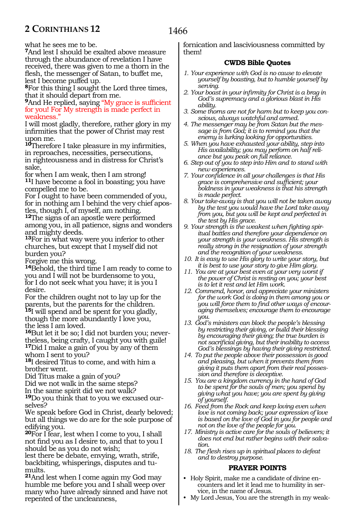what he sees me to be.

**<sup>7</sup>**And lest I should be exalted above measure through the abundance of revelation I have received, there was given to me a thorn in the flesh, the messenger of Satan, to buffet me, lest I become puffed up.

**<sup>8</sup>**For this thing I sought the Lord three times, that it should depart from me.

**<sup>9</sup>**And He replied, saying "My grace is sufficient for you! For My strength is made perfect in weakness."

I will most gladly, therefore, rather glory in my infirmities that the power of Christ may rest upon me.

**<sup>10</sup>**Therefore I take pleasure in my infirmities, in reproaches, necessities, persecutions, in righteousness and in distress for Christ's sake,

for when I am weak, then I am strong! **<sup>11</sup>**I have become a fool in boasting; you have compelled me to be.

For I ought to have been commended of you, for in nothing am I behind the very chief apostles, though I, of myself, am nothing.

**<sup>12</sup>**The signs of an apostle were performed among you, in all patience, signs and wonders and mighty deeds.

**<sup>13</sup>**For in what way were you inferior to other churches, but except that I myself did not burden you?

Forgive me this wrong.

**<sup>14</sup>**Behold, the third time I am ready to come to you and I will not be burdensome to you, for I do not seek what you have; it is you I desire.

For the children ought not to lay up for the parents, but the parents for the children. **<sup>15</sup>**I will spend and be spent for you gladly, though the more abundantly I love you, the less I am loved.

**16**But let it be so; I did not burden you; never-<br>theless, being crafty, I caught you with guile! **<sup>17</sup>**Did I make a gain of you by any of them whom I sent to you?

**<sup>18</sup>**I desired Titus to come, and with him a brother went.

Did Titus make a gain of you?

Did we not walk in the same steps?

In the same spirit did we not walk?

**19**Do you think that to you we excused ourselves?

We speak before God in Christ, dearly beloved; but all things we do are for the sole purpose of edifying you.

**<sup>20</sup>**For I fear, lest when I come to you, I shall not find you as I desire to, and that to you I should be as you do not wish;

lest there be debate, envying, wrath, strife, backbiting, whisperings, disputes and tumults.

**<sup>21</sup>**And lest when I come again my God may humble me before you and I shall weep over many who have already sinned and have not repented of the uncleanness,

fornication and lasciviousness committed by them!

### **CWDS Bible Quotes**

- *1. Your experience with God is no cause to elevate yourself by boasting, but to humble yourself by serving.*
- *2. Your boast in your infirmity for Christ is a brag in God's supremacy and a glorious blast in His ability.*
- *3. Some thorns are not for harm but to keep you conscious, always watchful and armed.*
- *4. The messenger may be from Satan but the message is from God; it is to remind you that the enemy is lurking looking for opportunities.*
- *5. When you have exhausted your ability, step into His availability; you may perform on half reliance but you peak on full reliance.*
- *6. Step out of you to step into Him and to stand with new experiences.*
- *7. Your confidence in all your challenges is that His grace is comprehensive and sufficient; your boldness in your weakness is that his strength is made perfect.*
- *8. Your take-away is that you will not be taken away by the test you would have the Lord take away from you, but you will be kept and perfected in the test by His grace.*
- *9. Your strength is the weakest when fighting spiritual battles and therefore your dependence on your strength is your weakness. His strength is really strong in the resignation of your strength and the recognition of your weakness.*
- *10. It is easy to use His glory to write your story, but it is best to use your story to give Him glory.*
- *11. You are at your best even at your very worst if the power of Christ is resting on you; your best is to let it rest and let Him work.*
- *12. Commend, honor, and appreciate your ministers for the work God is doing in them among you or you will force them to find other ways of encouraging themselves; encourage them to encourage you.*
- *13. God's ministers can block the people's blessing by restricting their giving, or build their blessing by encouraging their giving; the true burden is not sacrificial giving, but their inability to access God's blessings by having their giving restricted.*
- *14. To put the people above their possession is good and pleasing, but when it prevents them from giving it puts them apart from their real possession and therefore is deceptive.*
- *15. You are a kingdom currency in the hand of God to be spent for the souls of men; you spend by giving what you have; you are spent by giving of yourself.*
- *16. Feed from the Rock and keep loving even when love is not coming back; your expression of love is based on the love of God in you for people and not on the love of the people for you.*
- *17. Ministry is active care for the souls of believers; it does not end but rather begins with their salvation.*
- *18. The flesh rises up in spiritual places to defeat and to destroy purpose.*

### **PRAYER POINTS**

- Holy Spirit, make me a candidate of divine encounters and let it lead me to humility in service, in the name of Jesus.
- My Lord Jesus, You are the strength in my weak-